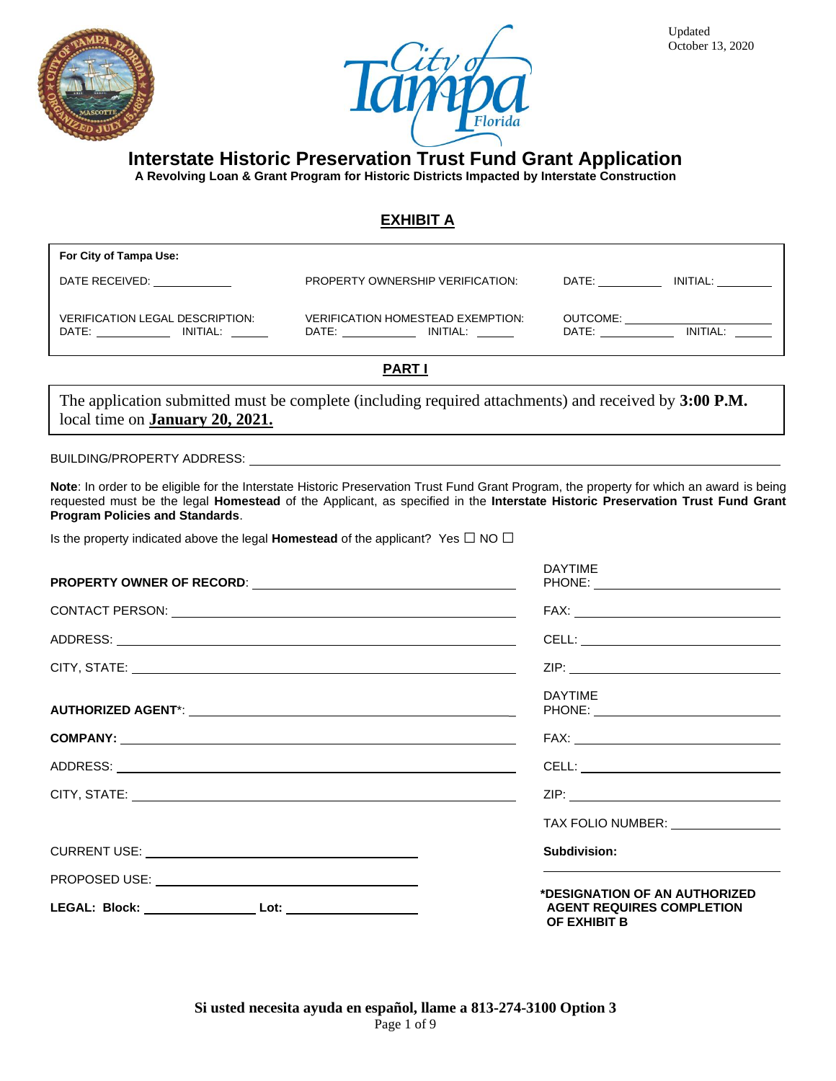



**A Revolving Loan & Grant Program for Historic Districts Impacted by Interstate Construction**

#### **EXHIBIT A**

| For City of Tampa Use:                                                                                                                                                                                                                                                              |                                                                                                                                                                                                                                                                                        |                               |
|-------------------------------------------------------------------------------------------------------------------------------------------------------------------------------------------------------------------------------------------------------------------------------------|----------------------------------------------------------------------------------------------------------------------------------------------------------------------------------------------------------------------------------------------------------------------------------------|-------------------------------|
| DATE RECEIVED:                                                                                                                                                                                                                                                                      | PROPERTY OWNERSHIP VERIFICATION:                                                                                                                                                                                                                                                       | INITIAL:<br>DATE:             |
| <b>VERIFICATION LEGAL DESCRIPTION:</b><br>DATE: and the state of the state of the state of the state of the state of the state of the state of the state of the state of the state of the state of the state of the state of the state of the state of the state of the<br>INITIAL: | <b>VERIFICATION HOMESTEAD EXEMPTION:</b><br>INITIAL:<br>DATE: the contract of the contract of the contract of the contract of the contract of the contract of the contract of the contract of the contract of the contract of the contract of the contract of the contract of the cont | OUTCOME:<br>INITIAL:<br>DATE: |
| <b>PART</b>                                                                                                                                                                                                                                                                         |                                                                                                                                                                                                                                                                                        |                               |

The application submitted must be complete (including required attachments) and received by **3:00 P.M.** local time on **January 20, 2021.**

#### BUILDING/PROPERTY ADDRESS:

**Note**: In order to be eligible for the Interstate Historic Preservation Trust Fund Grant Program, the property for which an award is being requested must be the legal **Homestead** of the Applicant, as specified in the **Interstate Historic Preservation Trust Fund Grant Program Policies and Standards**.

Is the property indicated above the legal **Homestead** of the applicant? Yes **□** NO **□**

. Applications received after the submission deadline will not be considered.

| <b>DAYTIME</b>                                                                    |
|-----------------------------------------------------------------------------------|
|                                                                                   |
|                                                                                   |
|                                                                                   |
| <b>DAYTIME</b>                                                                    |
|                                                                                   |
|                                                                                   |
|                                                                                   |
| TAX FOLIO NUMBER: TAX                                                             |
| <b>Subdivision:</b>                                                               |
|                                                                                   |
| *DESIGNATION OF AN AUTHORIZED<br><b>AGENT REQUIRES COMPLETION</b><br>OF EXHIBIT B |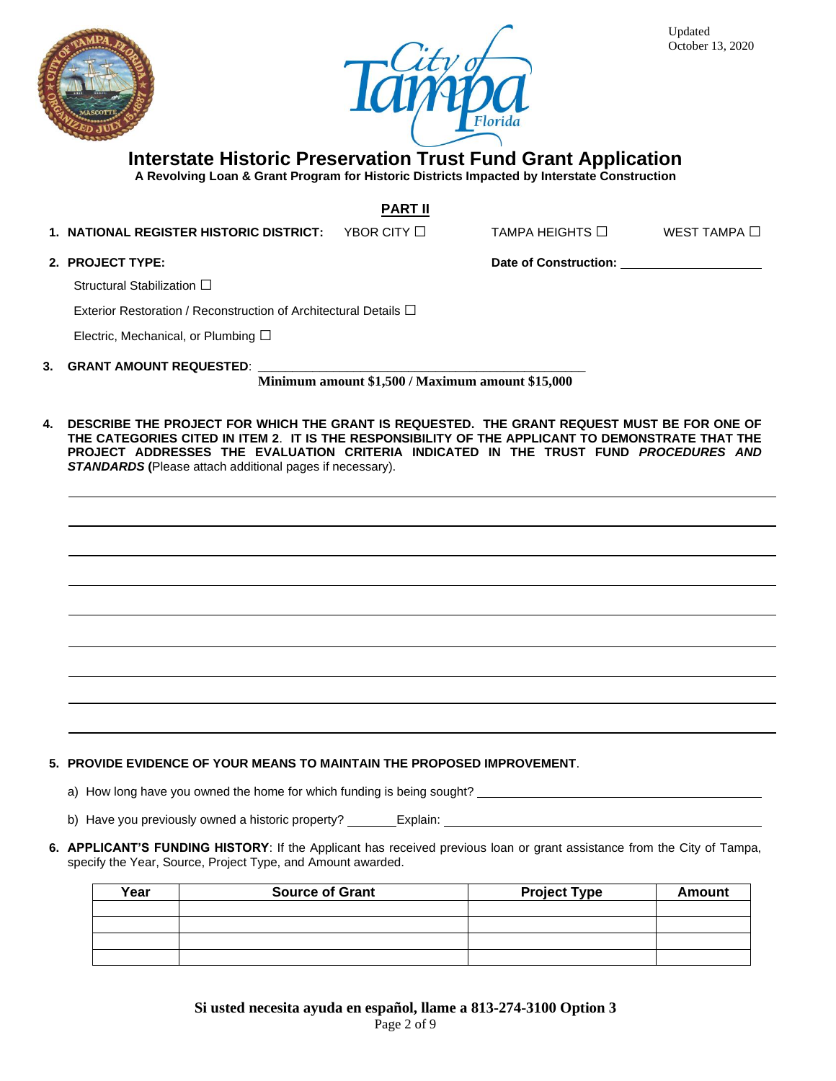



#### **Interstate Historic Preservation Trust Fund Grant Application**

**A Revolving Loan & Grant Program for Historic Districts Impacted by Interstate Construction**

**PART II**

**1. NATIONAL REGISTER HISTORIC DISTRICT:** YBOR CITY □ TAMPA HEIGHTS □ WEST TAMPA □

**2. PROJECT TYPE: Date of Construction:**

Structural Stabilization □

Exterior Restoration / Reconstruction of Architectural Details **□**

Electric, Mechanical, or Plumbing □

**3. GRANT AMOUNT REQUESTED**: **\_\_\_\_\_\_\_\_\_\_\_\_\_\_\_\_\_\_\_\_\_\_\_\_\_\_\_\_\_\_\_\_\_\_\_\_\_\_\_\_\_\_\_\_\_\_\_\_**

**Minimum amount \$1,500 / Maximum amount \$15,000**

**4. DESCRIBE THE PROJECT FOR WHICH THE GRANT IS REQUESTED. THE GRANT REQUEST MUST BE FOR ONE OF THE CATEGORIES CITED IN ITEM 2**. **IT IS THE RESPONSIBILITY OF THE APPLICANT TO DEMONSTRATE THAT THE PROJECT ADDRESSES THE EVALUATION CRITERIA INDICATED IN THE TRUST FUND** *PROCEDURES AND STANDARDS* **(**Please attach additional pages if necessary).

**5. PROVIDE EVIDENCE OF YOUR MEANS TO MAINTAIN THE PROPOSED IMPROVEMENT**.

a) How long have you owned the home for which funding is being sought?

b) Have you previously owned a historic property? \_\_\_\_\_\_\_Explain: \_\_

**6. APPLICANT'S FUNDING HISTORY**: If the Applicant has received previous loan or grant assistance from the City of Tampa, specify the Year, Source, Project Type, and Amount awarded.

| Year | <b>Source of Grant</b> | <b>Project Type</b> | Amount |
|------|------------------------|---------------------|--------|
|      |                        |                     |        |
|      |                        |                     |        |
|      |                        |                     |        |
|      |                        |                     |        |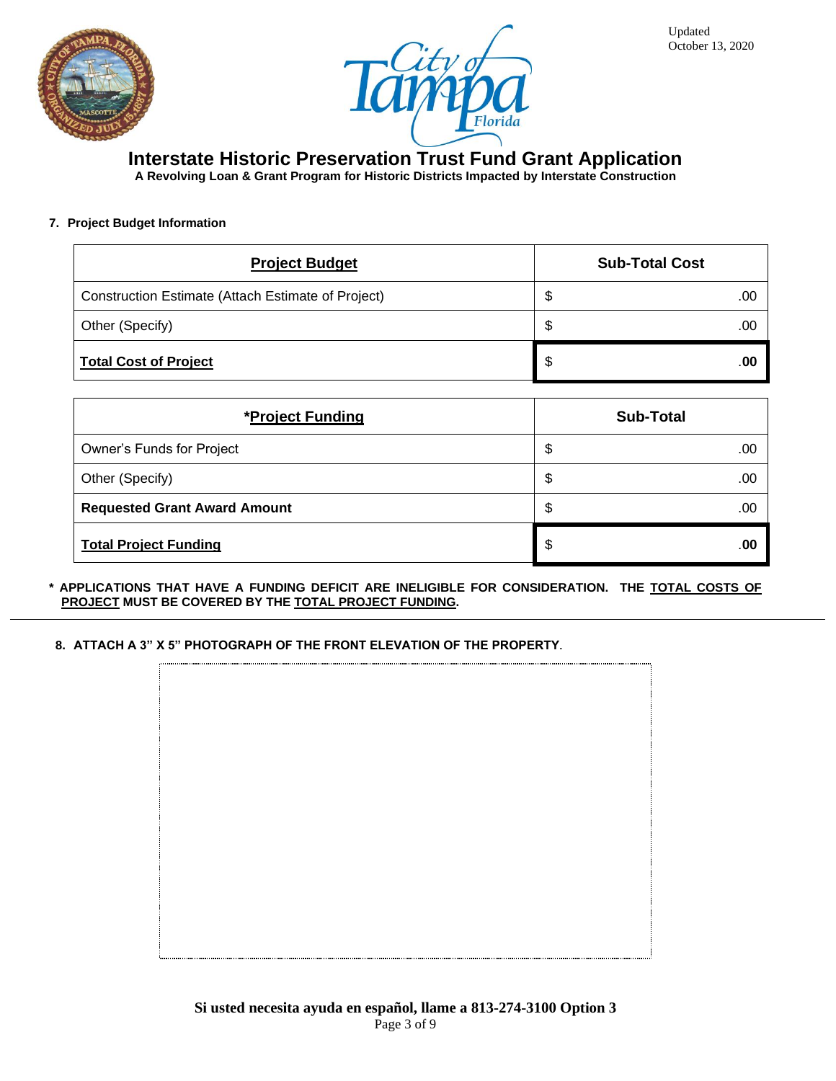



## **Interstate Historic Preservation Trust Fund Grant Application**

**A Revolving Loan & Grant Program for Historic Districts Impacted by Interstate Construction**

#### **7. Project Budget Information**

| <b>Project Budget</b>                              | <b>Sub-Total Cost</b> |
|----------------------------------------------------|-----------------------|
| Construction Estimate (Attach Estimate of Project) | \$<br>.00             |
| Other (Specify)                                    | \$<br>.00             |
| <b>Total Cost of Project</b>                       | \$<br>.00             |

| *Project Funding                    | <b>Sub-Total</b> |
|-------------------------------------|------------------|
| Owner's Funds for Project           | \$<br>.00        |
| Other (Specify)                     | \$<br>.00        |
| <b>Requested Grant Award Amount</b> | \$<br>.00        |
| <b>Total Project Funding</b>        | \$<br>.00        |

**\* APPLICATIONS THAT HAVE A FUNDING DEFICIT ARE INELIGIBLE FOR CONSIDERATION. THE TOTAL COSTS OF PROJECT MUST BE COVERED BY THE TOTAL PROJECT FUNDING.**

**8. ATTACH A 3" X 5" PHOTOGRAPH OF THE FRONT ELEVATION OF THE PROPERTY.**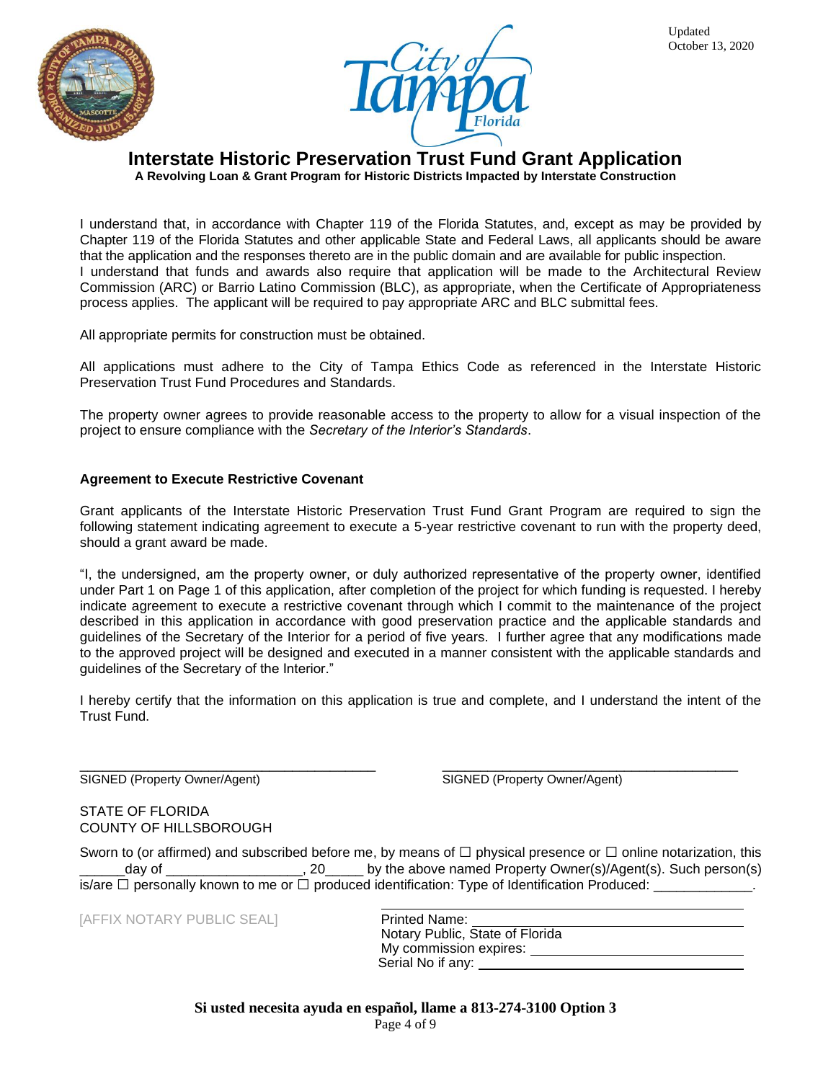



# **Interstate Historic Preservation Trust Fund Grant Application**

**A Revolving Loan & Grant Program for Historic Districts Impacted by Interstate Construction**

I understand that, in accordance with Chapter 119 of the Florida Statutes, and, except as may be provided by Chapter 119 of the Florida Statutes and other applicable State and Federal Laws, all applicants should be aware that the application and the responses thereto are in the public domain and are available for public inspection. I understand that funds and awards also require that application will be made to the Architectural Review Commission (ARC) or Barrio Latino Commission (BLC), as appropriate, when the Certificate of Appropriateness process applies. The applicant will be required to pay appropriate ARC and BLC submittal fees.

All appropriate permits for construction must be obtained.

All applications must adhere to the City of Tampa Ethics Code as referenced in the Interstate Historic Preservation Trust Fund Procedures and Standards.

The property owner agrees to provide reasonable access to the property to allow for a visual inspection of the project to ensure compliance with the *Secretary of the Interior's Standards*.

#### **Agreement to Execute Restrictive Covenant**

Grant applicants of the Interstate Historic Preservation Trust Fund Grant Program are required to sign the following statement indicating agreement to execute a 5-year restrictive covenant to run with the property deed, should a grant award be made.

"I, the undersigned, am the property owner, or duly authorized representative of the property owner, identified under Part 1 on Page 1 of this application, after completion of the project for which funding is requested. I hereby indicate agreement to execute a restrictive covenant through which I commit to the maintenance of the project described in this application in accordance with good preservation practice and the applicable standards and guidelines of the Secretary of the Interior for a period of five years. I further agree that any modifications made to the approved project will be designed and executed in a manner consistent with the applicable standards and guidelines of the Secretary of the Interior."

I hereby certify that the information on this application is true and complete, and I understand the intent of the Trust Fund.

SIGNED (Property Owner/Agent) SIGNED (Property Owner/Agent)

\_\_\_\_\_\_\_\_\_\_\_\_\_\_\_\_\_\_\_\_\_\_\_\_\_\_\_\_\_\_\_\_\_\_\_\_\_\_\_ \_\_\_\_\_\_\_\_\_\_\_\_\_\_\_\_\_\_\_\_\_\_\_\_\_\_\_\_\_\_\_\_\_\_\_\_\_\_\_

STATE OF FLORIDA COUNTY OF HILLSBOROUGH

Sworn to (or affirmed) and subscribed before me, by means of  $\Box$  physical presence or  $\Box$  online notarization, this  $_2$ day of  $_2$  \_\_\_\_\_\_\_\_\_\_\_\_\_\_\_\_\_\_\_\_, 20<sub>\_\_\_\_\_\_</sub> by the above named Property Owner(s)/Agent(s). Such person(s) is/are  $\Box$  personally known to me or  $\Box$  produced identification: Type of Identification Produced:

[AFFIX NOTARY PUBLIC SEAL]

| <b>Printed Name:</b>            |  |
|---------------------------------|--|
| Notary Public, State of Florida |  |
| My commission expires:          |  |
| Serial No if any:               |  |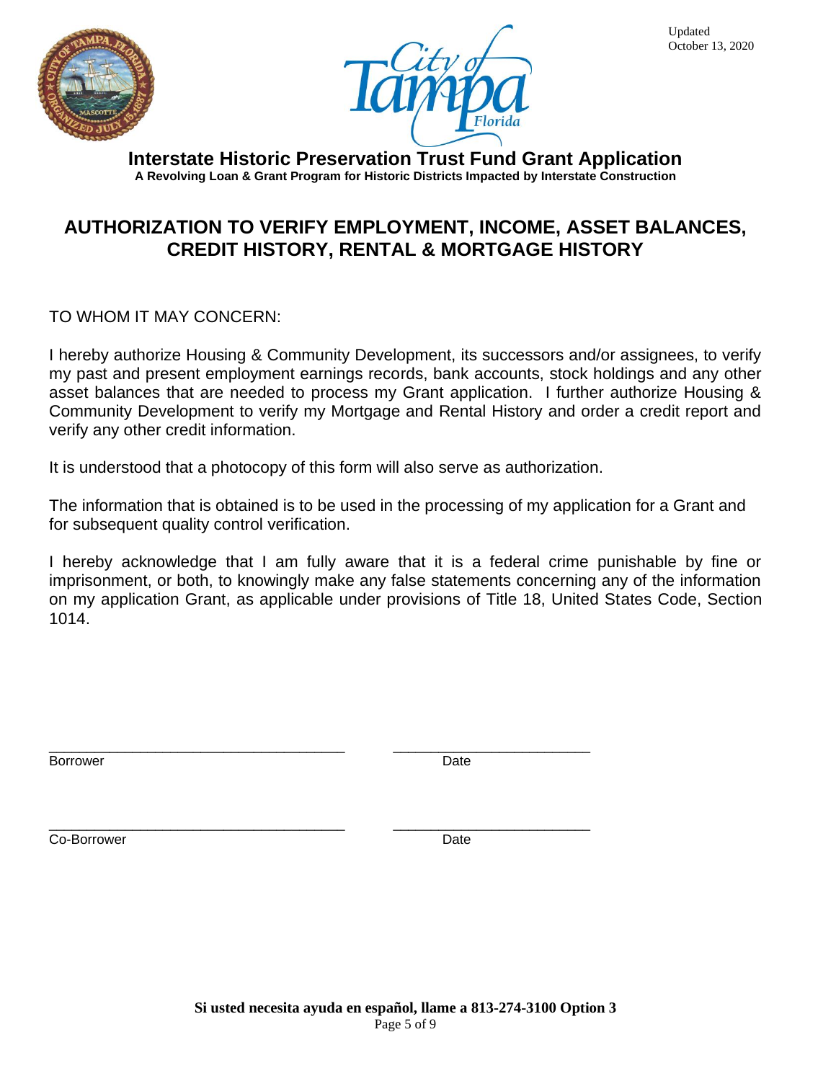



**Interstate Historic Preservation Trust Fund Grant Application A Revolving Loan & Grant Program for Historic Districts Impacted by Interstate Construction**

# **AUTHORIZATION TO VERIFY EMPLOYMENT, INCOME, ASSET BALANCES, CREDIT HISTORY, RENTAL & MORTGAGE HISTORY**

TO WHOM IT MAY CONCERN:

I hereby authorize Housing & Community Development, its successors and/or assignees, to verify my past and present employment earnings records, bank accounts, stock holdings and any other asset balances that are needed to process my Grant application. I further authorize Housing & Community Development to verify my Mortgage and Rental History and order a credit report and verify any other credit information.

It is understood that a photocopy of this form will also serve as authorization.

\_\_\_\_\_\_\_\_\_\_\_\_\_\_\_\_\_\_\_\_\_\_\_\_\_\_\_\_\_\_\_\_\_\_\_\_\_\_\_ \_\_\_\_\_\_\_\_\_\_\_\_\_\_\_\_\_\_\_\_\_\_\_\_\_\_

The information that is obtained is to be used in the processing of my application for a Grant and for subsequent quality control verification.

I hereby acknowledge that I am fully aware that it is a federal crime punishable by fine or imprisonment, or both, to knowingly make any false statements concerning any of the information on my application Grant, as applicable under provisions of Title 18, United States Code, Section 1014.

\_\_\_\_\_\_\_\_\_\_\_\_\_\_\_\_\_\_\_\_\_\_\_\_\_\_\_\_\_\_\_\_\_\_\_\_\_\_\_ \_\_\_\_\_\_\_\_\_\_\_\_\_\_\_\_\_\_\_\_\_\_\_\_\_\_ Borrower Date

Co-Borrower Date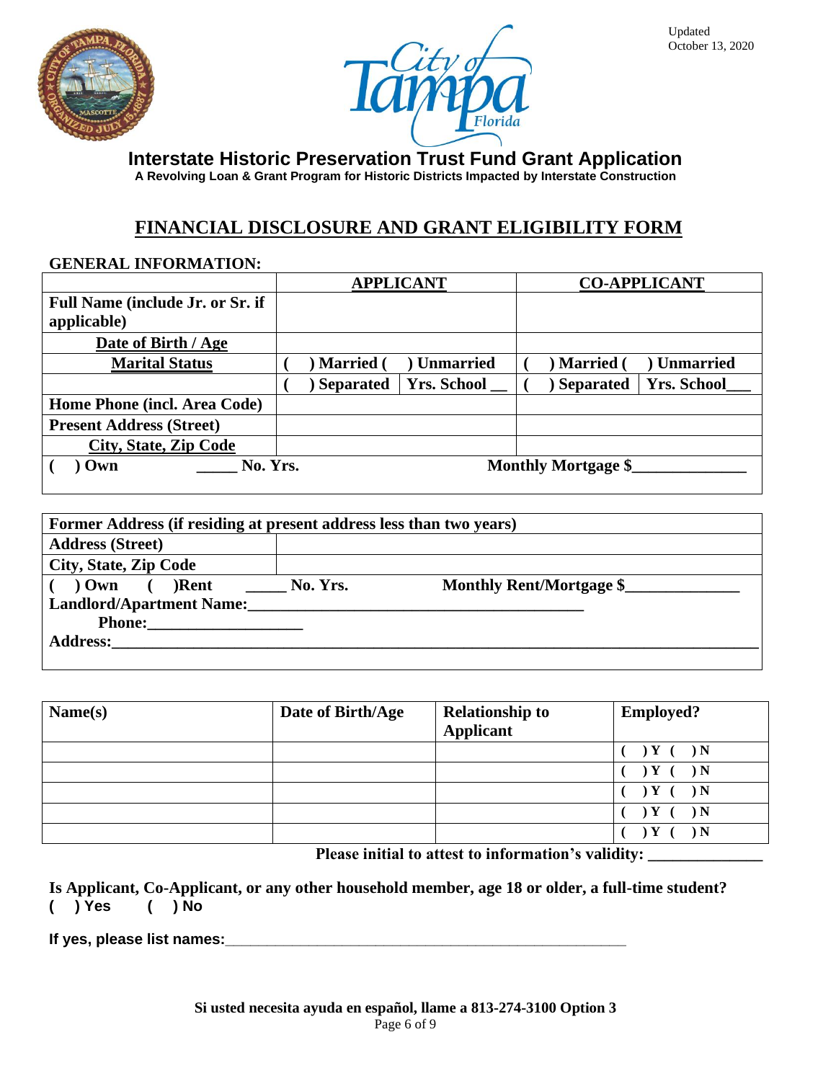



**A Revolving Loan & Grant Program for Historic Districts Impacted by Interstate Construction**

## **FINANCIAL DISCLOSURE AND GRANT ELIGIBILITY FORM**

#### **GENERAL INFORMATION:**

|                                                        | <b>APPLICANT</b>                       | <b>CO-APPLICANT</b>                    |
|--------------------------------------------------------|----------------------------------------|----------------------------------------|
| <b>Full Name (include Jr. or Sr. if</b><br>applicable) |                                        |                                        |
| Date of Birth / Age                                    |                                        |                                        |
| <b>Marital Status</b>                                  | <b>Unmarried</b><br><b>Married</b>     | <b>Unmarried</b><br><b>Married</b>     |
|                                                        | <b>Yrs. School</b><br><b>Separated</b> | <b>Yrs. School</b><br><b>Separated</b> |
| Home Phone (incl. Area Code)                           |                                        |                                        |
| <b>Present Address (Street)</b>                        |                                        |                                        |
| <b>City, State, Zip Code</b>                           |                                        |                                        |
| No. Yrs.<br>Own                                        |                                        | <b>Monthly Mortgage \$</b>             |

| Former Address (if residing at present address less than two years) |          |                          |
|---------------------------------------------------------------------|----------|--------------------------|
| <b>Address (Street)</b>                                             |          |                          |
| <b>City, State, Zip Code</b>                                        |          |                          |
| $\sqrt{0}$ Own $\sqrt{0}$ Rent                                      | No. Yrs. | Monthly Rent/Mortgage \$ |
| <b>Landlord/Apartment Name:</b>                                     |          |                          |
|                                                                     |          |                          |
| <b>Address:</b>                                                     |          |                          |
|                                                                     |          |                          |

| Name(s) | Date of Birth/Age | <b>Relationship to</b><br>Applicant | <b>Employed?</b> |
|---------|-------------------|-------------------------------------|------------------|
|         |                   |                                     | ) N              |
|         |                   |                                     | ) N              |
|         |                   |                                     | ) $\bf N$        |
|         |                   |                                     | ) N              |
|         |                   |                                     | ١N               |

 **Please initial to attest to information's validity:** 

**Is Applicant, Co-Applicant, or any other household member, age 18 or older, a full-time student? ( ) Yes ( ) No** 

**If yes, please list names:\_\_\_\_\_\_\_\_\_\_\_\_\_\_\_\_\_\_\_\_\_\_\_\_\_\_\_\_\_\_\_\_\_\_\_\_\_\_\_\_\_\_\_\_\_\_\_\_**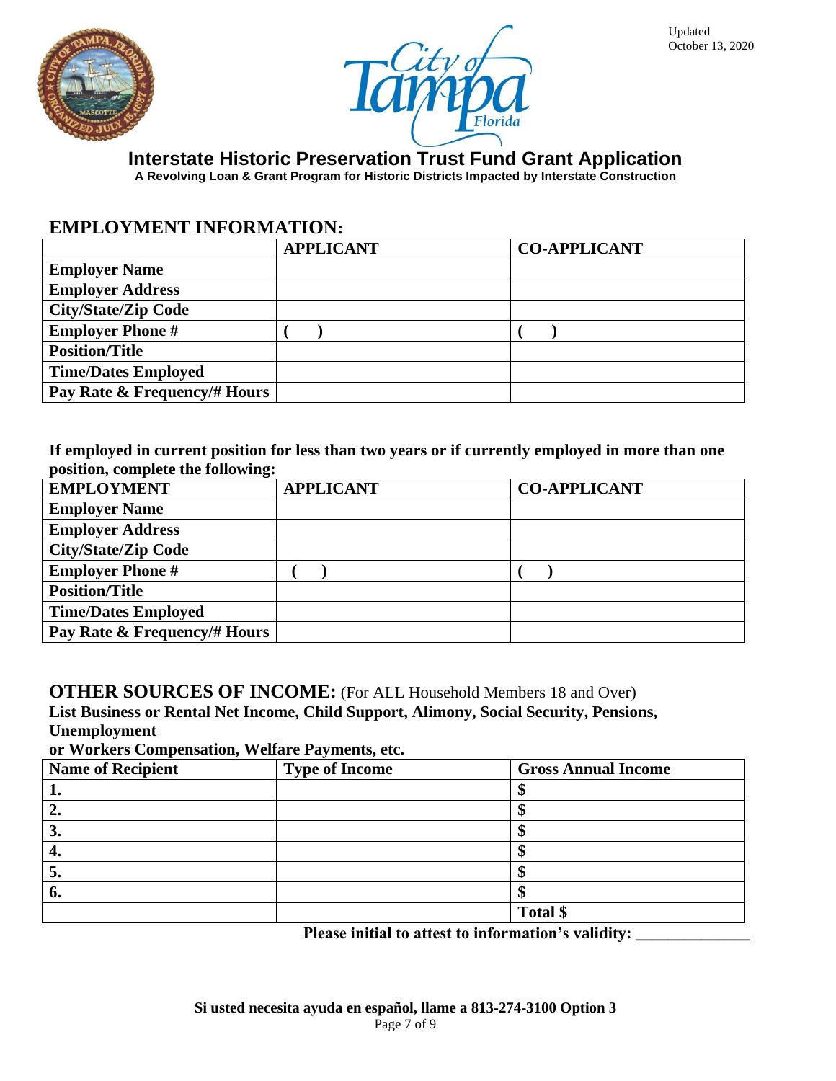



**A Revolving Loan & Grant Program for Historic Districts Impacted by Interstate Construction**

## **EMPLOYMENT INFORMATION:**

| <b>APPLICANT</b> | <b>CO-APPLICANT</b> |
|------------------|---------------------|
|                  |                     |
|                  |                     |
|                  |                     |
|                  |                     |
|                  |                     |
|                  |                     |
|                  |                     |
|                  |                     |

**If employed in current position for less than two years or if currently employed in more than one position, complete the following:**

| <b>EMPLOYMENT</b>            | <b>APPLICANT</b> | <b>CO-APPLICANT</b> |
|------------------------------|------------------|---------------------|
| <b>Employer Name</b>         |                  |                     |
| <b>Employer Address</b>      |                  |                     |
| <b>City/State/Zip Code</b>   |                  |                     |
| <b>Employer Phone #</b>      |                  |                     |
| <b>Position/Title</b>        |                  |                     |
| <b>Time/Dates Employed</b>   |                  |                     |
| Pay Rate & Frequency/# Hours |                  |                     |

**OTHER SOURCES OF INCOME:** (For ALL Household Members 18 and Over) **List Business or Rental Net Income, Child Support, Alimony, Social Security, Pensions, Unemployment**

**or Workers Compensation, Welfare Payments, etc.**

| <b>Name of Recipient</b> | <b>Type of Income</b> | <b>Gross Annual Income</b> |
|--------------------------|-----------------------|----------------------------|
|                          |                       |                            |
|                          |                       |                            |
| J.                       |                       |                            |
| −.                       |                       |                            |
| J.                       |                       |                            |
| o.                       |                       |                            |
|                          |                       | Total \$                   |

Please initial to attest to information's validity: **with all endominates**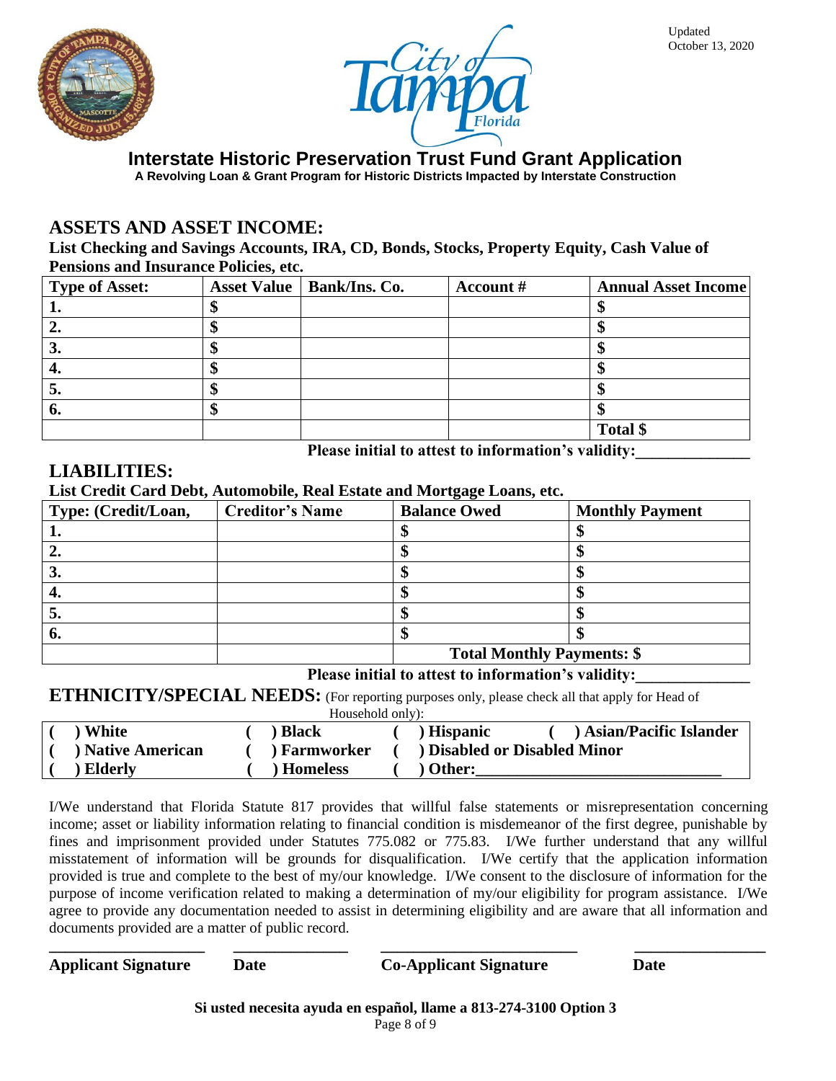



**A Revolving Loan & Grant Program for Historic Districts Impacted by Interstate Construction**

### **ASSETS AND ASSET INCOME:**

**List Checking and Savings Accounts, IRA, CD, Bonds, Stocks, Property Equity, Cash Value of Pensions and Insurance Policies, etc.**

| <b>Type of Asset:</b> | Asset Value   Bank/Ins. Co. | Account # | <b>Annual Asset Income</b> |
|-----------------------|-----------------------------|-----------|----------------------------|
| ∸.                    |                             |           |                            |
|                       |                             |           |                            |
| J.                    |                             |           |                            |
| 4.                    |                             |           |                            |
| J.                    |                             |           |                            |
| o.                    |                             |           |                            |
|                       |                             |           | Total \$                   |

Please initial to attest to information's validity:

### **LIABILITIES:**

**List Credit Card Debt, Automobile, Real Estate and Mortgage Loans, etc.**

| Type: (Credit/Loan, | <b>Creditor's Name</b> | <b>Balance Owed</b>               | <b>Monthly Payment</b> |  |  |
|---------------------|------------------------|-----------------------------------|------------------------|--|--|
|                     |                        |                                   |                        |  |  |
|                     |                        |                                   |                        |  |  |
| J.                  |                        |                                   |                        |  |  |
| 4.                  |                        |                                   |                        |  |  |
| J.                  |                        |                                   |                        |  |  |
| O.                  |                        |                                   |                        |  |  |
|                     |                        | <b>Total Monthly Payments: \$</b> |                        |  |  |

#### Please initial to attest to information's validity:

#### **ETHNICITY/SPECIAL NEEDS:** (For reporting purposes only, please check all that apply for Head of

| Household only): |                        |  |                 |  |                 |                                   |  |
|------------------|------------------------|--|-----------------|--|-----------------|-----------------------------------|--|
|                  | White                  |  | <b>Black</b>    |  | <b>Hispanic</b> | ) Asian/Pacific Islander          |  |
|                  | <b>Native American</b> |  | ) Farmworker    |  |                 | <b>Disabled or Disabled Minor</b> |  |
|                  | Elderly                |  | <b>Homeless</b> |  | Other:          |                                   |  |

I/We understand that Florida Statute 817 provides that willful false statements or misrepresentation concerning income; asset or liability information relating to financial condition is misdemeanor of the first degree, punishable by fines and imprisonment provided under Statutes 775.082 or 775.83. I/We further understand that any willful misstatement of information will be grounds for disqualification. I/We certify that the application information provided is true and complete to the best of my/our knowledge. I/We consent to the disclosure of information for the purpose of income verification related to making a determination of my/our eligibility for program assistance. I/We agree to provide any documentation needed to assist in determining eligibility and are aware that all information and documents provided are a matter of public record.

| <b>Applicant Signature</b> | Date |  |  |         | <b>Co-Applicant Signature</b> | Date |  |
|----------------------------|------|--|--|---------|-------------------------------|------|--|
|                            |      |  |  | -- - -- |                               |      |  |